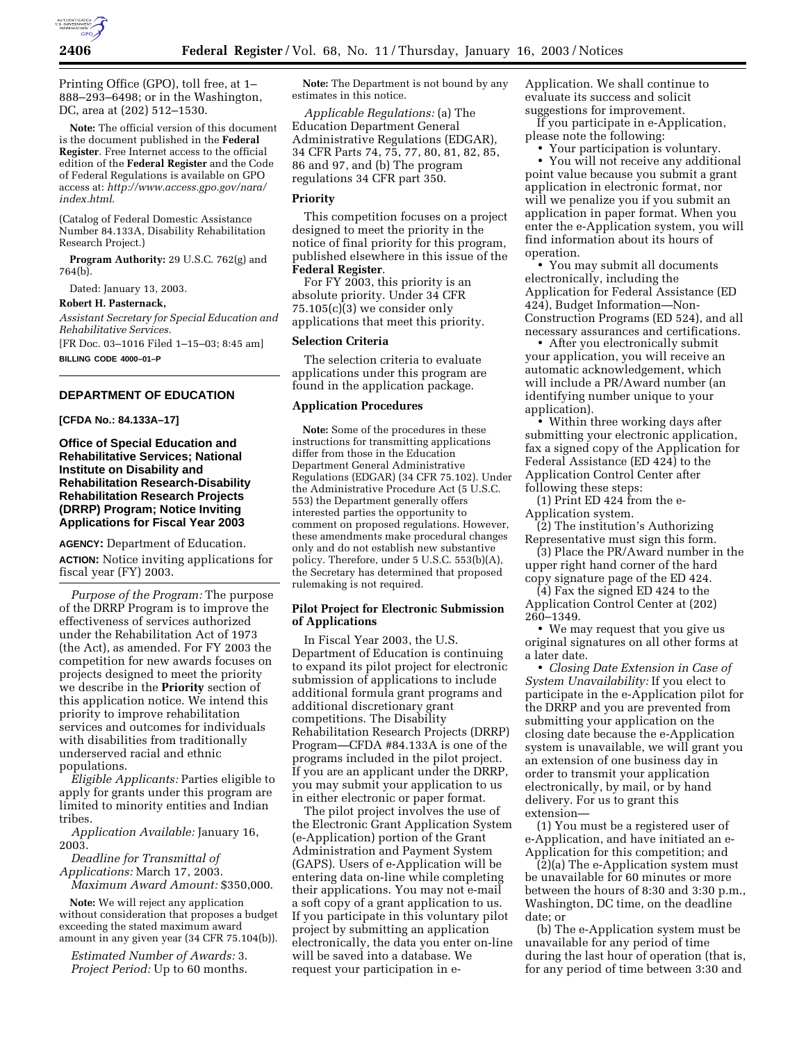

Printing Office (GPO), toll free, at 1– 888–293–6498; or in the Washington, DC, area at (202) 512–1530.

**Note:** The official version of this document is the document published in the **Federal Register**. Free Internet access to the official edition of the **Federal Register** and the Code of Federal Regulations is available on GPO access at: *http://www.access.gpo.gov/nara/ index.html*.

(Catalog of Federal Domestic Assistance Number 84.133A, Disability Rehabilitation Research Project.)

**Program Authority:** 29 U.S.C. 762(g) and 764(b).

Dated: January 13, 2003.

#### **Robert H. Pasternack,**

*Assistant Secretary for Special Education and Rehabilitative Services.*

[FR Doc. 03–1016 Filed 1–15–03; 8:45 am] **BILLING CODE 4000–01–P**

# **DEPARTMENT OF EDUCATION**

#### **[CFDA No.: 84.133A–17]**

**Office of Special Education and Rehabilitative Services; National Institute on Disability and Rehabilitation Research-Disability Rehabilitation Research Projects (DRRP) Program; Notice Inviting Applications for Fiscal Year 2003**

**AGENCY:** Department of Education. **ACTION:** Notice inviting applications for fiscal year (FY) 2003.

*Purpose of the Program:* The purpose of the DRRP Program is to improve the effectiveness of services authorized under the Rehabilitation Act of 1973 (the Act), as amended. For FY 2003 the competition for new awards focuses on projects designed to meet the priority we describe in the **Priority** section of this application notice. We intend this priority to improve rehabilitation services and outcomes for individuals with disabilities from traditionally underserved racial and ethnic populations.

*Eligible Applicants:* Parties eligible to apply for grants under this program are limited to minority entities and Indian tribes.

*Application Available:* January 16, 2003.

*Deadline for Transmittal of Applications:* March 17, 2003. *Maximum Award Amount:* \$350,000.

**Note:** We will reject any application without consideration that proposes a budget exceeding the stated maximum award amount in any given year (34 CFR 75.104(b)).

*Estimated Number of Awards:* 3. *Project Period:* Up to 60 months.

**Note:** The Department is not bound by any estimates in this notice.

*Applicable Regulations:* (a) The Education Department General Administrative Regulations (EDGAR), 34 CFR Parts 74, 75, 77, 80, 81, 82, 85, 86 and 97, and (b) The program regulations 34 CFR part 350.

## **Priority**

This competition focuses on a project designed to meet the priority in the notice of final priority for this program, published elsewhere in this issue of the **Federal Register**.

For FY 2003, this priority is an absolute priority. Under 34 CFR 75.105(c)(3) we consider only applications that meet this priority.

#### **Selection Criteria**

The selection criteria to evaluate applications under this program are found in the application package.

#### **Application Procedures**

**Note:** Some of the procedures in these instructions for transmitting applications differ from those in the Education Department General Administrative Regulations (EDGAR) (34 CFR 75.102). Under the Administrative Procedure Act (5 U.S.C. 553) the Department generally offers interested parties the opportunity to comment on proposed regulations. However, these amendments make procedural changes only and do not establish new substantive policy. Therefore, under 5 U.S.C. 553(b)(A), the Secretary has determined that proposed rulemaking is not required.

## **Pilot Project for Electronic Submission of Applications**

In Fiscal Year 2003, the U.S. Department of Education is continuing to expand its pilot project for electronic submission of applications to include additional formula grant programs and additional discretionary grant competitions. The Disability Rehabilitation Research Projects (DRRP) Program—CFDA #84.133A is one of the programs included in the pilot project. If you are an applicant under the DRRP, you may submit your application to us in either electronic or paper format.

The pilot project involves the use of the Electronic Grant Application System (e-Application) portion of the Grant Administration and Payment System (GAPS). Users of e-Application will be entering data on-line while completing their applications. You may not e-mail a soft copy of a grant application to us. If you participate in this voluntary pilot project by submitting an application electronically, the data you enter on-line will be saved into a database. We request your participation in eApplication. We shall continue to evaluate its success and solicit suggestions for improvement.

If you participate in e-Application, please note the following:

• Your participation is voluntary.

• You will not receive any additional point value because you submit a grant application in electronic format, nor will we penalize you if you submit an application in paper format. When you enter the e-Application system, you will find information about its hours of operation.

• You may submit all documents electronically, including the Application for Federal Assistance (ED 424), Budget Information—Non-Construction Programs (ED 524), and all necessary assurances and certifications.

• After you electronically submit your application, you will receive an automatic acknowledgement, which will include a PR/Award number (an identifying number unique to your application).

• Within three working days after submitting your electronic application, fax a signed copy of the Application for Federal Assistance (ED 424) to the Application Control Center after following these steps:

(1) Print ED 424 from the e-Application system.

(2) The institution's Authorizing Representative must sign this form.

(3) Place the PR/Award number in the upper right hand corner of the hard copy signature page of the ED 424.

(4) Fax the signed ED 424 to the Application Control Center at (202) 260–1349.

• We may request that you give us original signatures on all other forms at a later date.

• *Closing Date Extension in Case of System Unavailability:* If you elect to participate in the e-Application pilot for the DRRP and you are prevented from submitting your application on the closing date because the e-Application system is unavailable, we will grant you an extension of one business day in order to transmit your application electronically, by mail, or by hand delivery. For us to grant this extension—

(1) You must be a registered user of e-Application, and have initiated an e-Application for this competition; and

(2)(a) The e-Application system must be unavailable for 60 minutes or more between the hours of 8:30 and 3:30 p.m., Washington, DC time, on the deadline date; or

(b) The e-Application system must be unavailable for any period of time during the last hour of operation (that is, for any period of time between 3:30 and